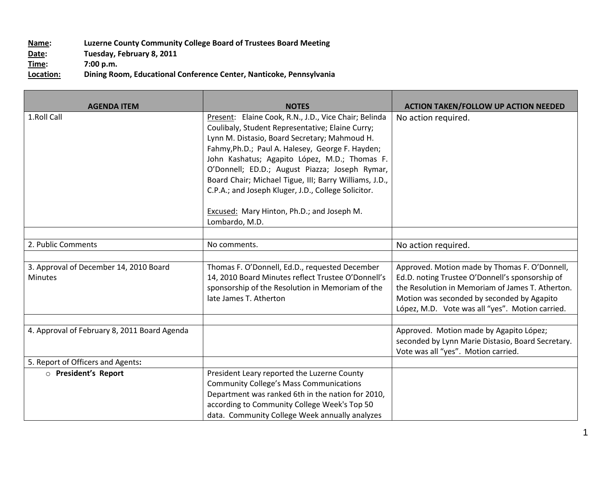## **Name: Luzerne County Community College Board of Trustees Board Meeting** Date: Tuesday, February 8, 2011<br> **Time:** 7:00 p.m. **Time:** 7:00 p.m.<br> **Location:** Dining Roo **Location: Dining Room, Educational Conference Center, Nanticoke, Pennsylvania**

| <b>AGENDA ITEM</b>                                       | <b>NOTES</b>                                                                                                                                                                                                                                                                                                                                                                                                                                                                                       | <b>ACTION TAKEN/FOLLOW UP ACTION NEEDED</b>                                                                                                                                                                                                           |
|----------------------------------------------------------|----------------------------------------------------------------------------------------------------------------------------------------------------------------------------------------------------------------------------------------------------------------------------------------------------------------------------------------------------------------------------------------------------------------------------------------------------------------------------------------------------|-------------------------------------------------------------------------------------------------------------------------------------------------------------------------------------------------------------------------------------------------------|
| 1.Roll Call                                              | Present: Elaine Cook, R.N., J.D., Vice Chair; Belinda<br>Coulibaly, Student Representative; Elaine Curry;<br>Lynn M. Distasio, Board Secretary; Mahmoud H.<br>Fahmy, Ph.D.; Paul A. Halesey, George F. Hayden;<br>John Kashatus; Agapito López, M.D.; Thomas F.<br>O'Donnell; ED.D.; August Piazza; Joseph Rymar,<br>Board Chair; Michael Tigue, III; Barry Williams, J.D.,<br>C.P.A.; and Joseph Kluger, J.D., College Solicitor.<br>Excused: Mary Hinton, Ph.D.; and Joseph M.<br>Lombardo, M.D. | No action required.                                                                                                                                                                                                                                   |
|                                                          |                                                                                                                                                                                                                                                                                                                                                                                                                                                                                                    |                                                                                                                                                                                                                                                       |
| 2. Public Comments                                       | No comments.                                                                                                                                                                                                                                                                                                                                                                                                                                                                                       | No action required.                                                                                                                                                                                                                                   |
| 3. Approval of December 14, 2010 Board<br><b>Minutes</b> | Thomas F. O'Donnell, Ed.D., requested December<br>14, 2010 Board Minutes reflect Trustee O'Donnell's<br>sponsorship of the Resolution in Memoriam of the<br>late James T. Atherton                                                                                                                                                                                                                                                                                                                 | Approved. Motion made by Thomas F. O'Donnell,<br>Ed.D. noting Trustee O'Donnell's sponsorship of<br>the Resolution in Memoriam of James T. Atherton.<br>Motion was seconded by seconded by Agapito<br>López, M.D. Vote was all "yes". Motion carried. |
| 4. Approval of February 8, 2011 Board Agenda             |                                                                                                                                                                                                                                                                                                                                                                                                                                                                                                    | Approved. Motion made by Agapito López;<br>seconded by Lynn Marie Distasio, Board Secretary.<br>Vote was all "yes". Motion carried.                                                                                                                   |
| 5. Report of Officers and Agents:                        |                                                                                                                                                                                                                                                                                                                                                                                                                                                                                                    |                                                                                                                                                                                                                                                       |
| O President's Report                                     | President Leary reported the Luzerne County<br><b>Community College's Mass Communications</b><br>Department was ranked 6th in the nation for 2010,<br>according to Community College Week's Top 50<br>data. Community College Week annually analyzes                                                                                                                                                                                                                                               |                                                                                                                                                                                                                                                       |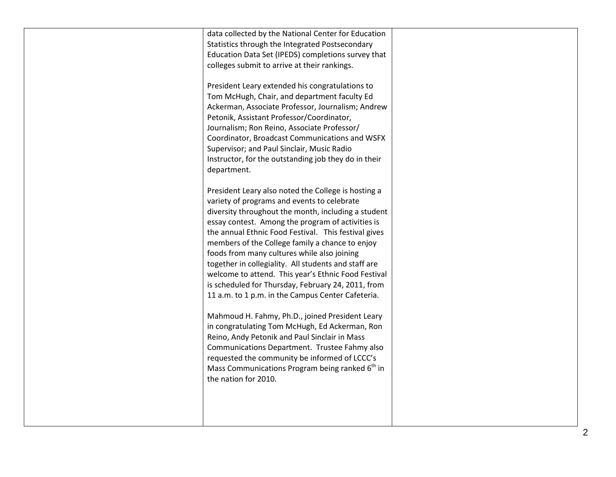| data collected by the National Center for Education<br>Statistics through the Integrated Postsecondary<br>Education Data Set (IPEDS) completions survey that<br>colleges submit to arrive at their rankings.<br>President Leary extended his congratulations to<br>Tom McHugh, Chair, and department faculty Ed<br>Ackerman, Associate Professor, Journalism; Andrew<br>Petonik, Assistant Professor/Coordinator,<br>Journalism; Ron Reino, Associate Professor/<br>Coordinator, Broadcast Communications and WSFX<br>Supervisor; and Paul Sinclair, Music Radio<br>Instructor, for the outstanding job they do in their<br>department.                                                                                                                                                                                                                                                                                                           |  |
|---------------------------------------------------------------------------------------------------------------------------------------------------------------------------------------------------------------------------------------------------------------------------------------------------------------------------------------------------------------------------------------------------------------------------------------------------------------------------------------------------------------------------------------------------------------------------------------------------------------------------------------------------------------------------------------------------------------------------------------------------------------------------------------------------------------------------------------------------------------------------------------------------------------------------------------------------|--|
| President Leary also noted the College is hosting a<br>variety of programs and events to celebrate<br>diversity throughout the month, including a student<br>essay contest. Among the program of activities is<br>the annual Ethnic Food Festival. This festival gives<br>members of the College family a chance to enjoy<br>foods from many cultures while also joining<br>together in collegiality. All students and staff are<br>welcome to attend. This year's Ethnic Food Festival<br>is scheduled for Thursday, February 24, 2011, from<br>11 a.m. to 1 p.m. in the Campus Center Cafeteria.<br>Mahmoud H. Fahmy, Ph.D., joined President Leary<br>in congratulating Tom McHugh, Ed Ackerman, Ron<br>Reino, Andy Petonik and Paul Sinclair in Mass<br>Communications Department. Trustee Fahmy also<br>requested the community be informed of LCCC's<br>Mass Communications Program being ranked 6 <sup>th</sup> in<br>the nation for 2010. |  |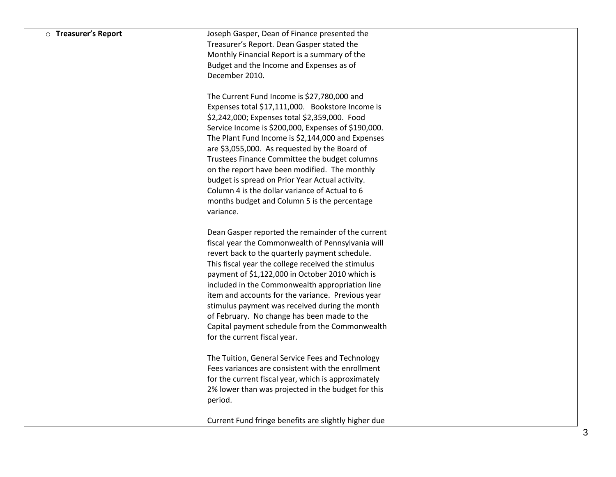| <b>O</b> Treasurer's Report | Joseph Gasper, Dean of Finance presented the                                                      |  |
|-----------------------------|---------------------------------------------------------------------------------------------------|--|
|                             | Treasurer's Report. Dean Gasper stated the                                                        |  |
|                             | Monthly Financial Report is a summary of the                                                      |  |
|                             | Budget and the Income and Expenses as of                                                          |  |
|                             | December 2010.                                                                                    |  |
|                             |                                                                                                   |  |
|                             | The Current Fund Income is \$27,780,000 and                                                       |  |
|                             | Expenses total \$17,111,000. Bookstore Income is                                                  |  |
|                             | \$2,242,000; Expenses total \$2,359,000. Food                                                     |  |
|                             | Service Income is \$200,000, Expenses of \$190,000.                                               |  |
|                             | The Plant Fund Income is \$2,144,000 and Expenses                                                 |  |
|                             | are \$3,055,000. As requested by the Board of                                                     |  |
|                             | Trustees Finance Committee the budget columns                                                     |  |
|                             | on the report have been modified. The monthly                                                     |  |
|                             | budget is spread on Prior Year Actual activity.<br>Column 4 is the dollar variance of Actual to 6 |  |
|                             |                                                                                                   |  |
|                             | months budget and Column 5 is the percentage<br>variance.                                         |  |
|                             |                                                                                                   |  |
|                             | Dean Gasper reported the remainder of the current                                                 |  |
|                             | fiscal year the Commonwealth of Pennsylvania will                                                 |  |
|                             | revert back to the quarterly payment schedule.                                                    |  |
|                             | This fiscal year the college received the stimulus                                                |  |
|                             | payment of \$1,122,000 in October 2010 which is                                                   |  |
|                             | included in the Commonwealth appropriation line                                                   |  |
|                             | item and accounts for the variance. Previous year                                                 |  |
|                             | stimulus payment was received during the month                                                    |  |
|                             | of February. No change has been made to the                                                       |  |
|                             | Capital payment schedule from the Commonwealth                                                    |  |
|                             | for the current fiscal year.                                                                      |  |
|                             | The Tuition, General Service Fees and Technology                                                  |  |
|                             | Fees variances are consistent with the enrollment                                                 |  |
|                             | for the current fiscal year, which is approximately                                               |  |
|                             | 2% lower than was projected in the budget for this                                                |  |
|                             | period.                                                                                           |  |
|                             |                                                                                                   |  |
|                             | Current Fund fringe benefits are slightly higher due                                              |  |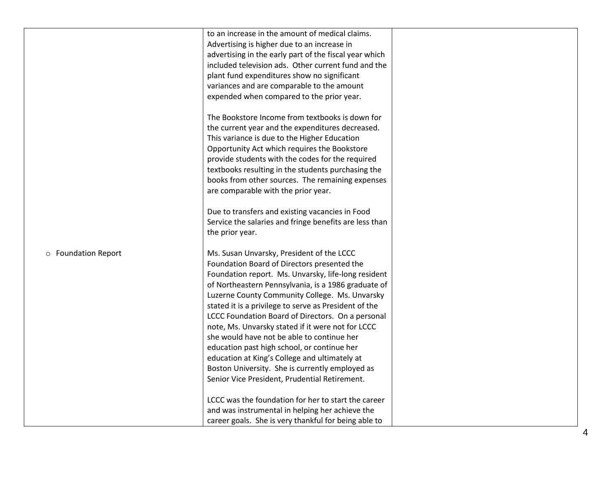|                     | to an increase in the amount of medical claims.        |  |
|---------------------|--------------------------------------------------------|--|
|                     | Advertising is higher due to an increase in            |  |
|                     | advertising in the early part of the fiscal year which |  |
|                     | included television ads. Other current fund and the    |  |
|                     | plant fund expenditures show no significant            |  |
|                     | variances and are comparable to the amount             |  |
|                     | expended when compared to the prior year.              |  |
|                     |                                                        |  |
|                     | The Bookstore Income from textbooks is down for        |  |
|                     | the current year and the expenditures decreased.       |  |
|                     | This variance is due to the Higher Education           |  |
|                     | Opportunity Act which requires the Bookstore           |  |
|                     | provide students with the codes for the required       |  |
|                     | textbooks resulting in the students purchasing the     |  |
|                     | books from other sources. The remaining expenses       |  |
|                     | are comparable with the prior year.                    |  |
|                     |                                                        |  |
|                     | Due to transfers and existing vacancies in Food        |  |
|                     | Service the salaries and fringe benefits are less than |  |
|                     | the prior year.                                        |  |
|                     |                                                        |  |
| o Foundation Report | Ms. Susan Unvarsky, President of the LCCC              |  |
|                     | Foundation Board of Directors presented the            |  |
|                     | Foundation report. Ms. Unvarsky, life-long resident    |  |
|                     | of Northeastern Pennsylvania, is a 1986 graduate of    |  |
|                     | Luzerne County Community College. Ms. Unvarsky         |  |
|                     | stated it is a privilege to serve as President of the  |  |
|                     | LCCC Foundation Board of Directors. On a personal      |  |
|                     | note, Ms. Unvarsky stated if it were not for LCCC      |  |
|                     | she would have not be able to continue her             |  |
|                     | education past high school, or continue her            |  |
|                     | education at King's College and ultimately at          |  |
|                     | Boston University. She is currently employed as        |  |
|                     | Senior Vice President, Prudential Retirement.          |  |
|                     |                                                        |  |
|                     | LCCC was the foundation for her to start the career    |  |
|                     | and was instrumental in helping her achieve the        |  |
|                     | career goals. She is very thankful for being able to   |  |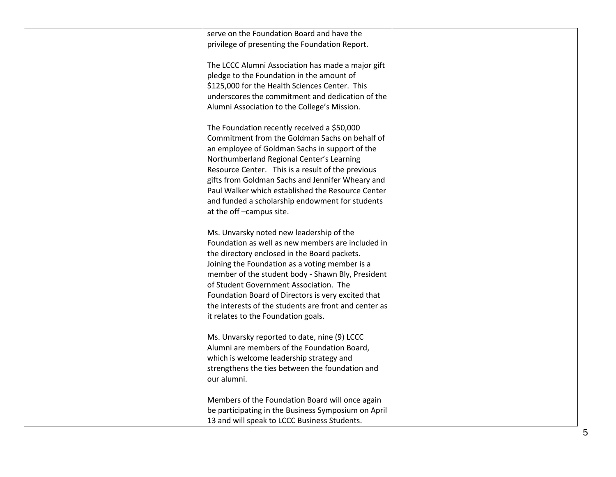| serve on the Foundation Board and have the            |  |
|-------------------------------------------------------|--|
| privilege of presenting the Foundation Report.        |  |
|                                                       |  |
| The LCCC Alumni Association has made a major gift     |  |
| pledge to the Foundation in the amount of             |  |
| \$125,000 for the Health Sciences Center. This        |  |
| underscores the commitment and dedication of the      |  |
| Alumni Association to the College's Mission.          |  |
|                                                       |  |
| The Foundation recently received a \$50,000           |  |
| Commitment from the Goldman Sachs on behalf of        |  |
|                                                       |  |
| an employee of Goldman Sachs in support of the        |  |
| Northumberland Regional Center's Learning             |  |
| Resource Center. This is a result of the previous     |  |
| gifts from Goldman Sachs and Jennifer Wheary and      |  |
| Paul Walker which established the Resource Center     |  |
| and funded a scholarship endowment for students       |  |
| at the off-campus site.                               |  |
|                                                       |  |
| Ms. Unvarsky noted new leadership of the              |  |
| Foundation as well as new members are included in     |  |
| the directory enclosed in the Board packets.          |  |
| Joining the Foundation as a voting member is a        |  |
| member of the student body - Shawn Bly, President     |  |
| of Student Government Association. The                |  |
| Foundation Board of Directors is very excited that    |  |
|                                                       |  |
| it relates to the Foundation goals.                   |  |
|                                                       |  |
| Ms. Unvarsky reported to date, nine (9) LCCC          |  |
| Alumni are members of the Foundation Board,           |  |
| which is welcome leadership strategy and              |  |
| strengthens the ties between the foundation and       |  |
| our alumni.                                           |  |
|                                                       |  |
| Members of the Foundation Board will once again       |  |
| be participating in the Business Symposium on April   |  |
| 13 and will speak to LCCC Business Students.          |  |
| the interests of the students are front and center as |  |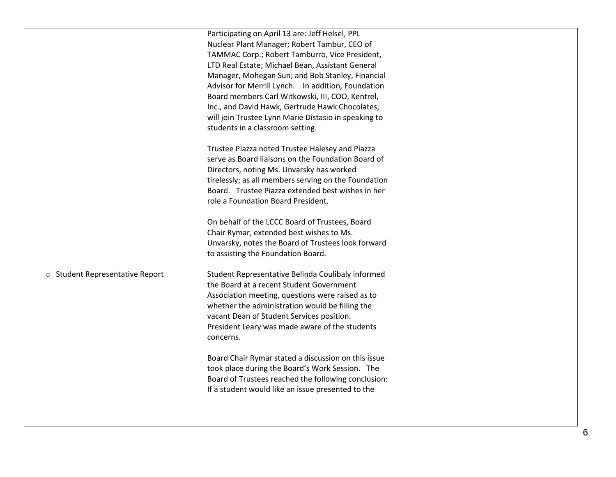|                                 | Participating on April 13 are: Jeff Helsel, PPL<br>Nuclear Plant Manager; Robert Tambur, CEO of<br>TAMMAC Corp.; Robert Tamburro, Vice President,<br>LTD Real Estate; Michael Bean, Assistant General<br>Manager, Mohegan Sun; and Bob Stanley, Financial<br>Advisor for Merrill Lynch. In addition, Foundation<br>Board members Carl Witkowski, III, COO, Kentrel,<br>Inc., and David Hawk, Gertrude Hawk Chocolates,<br>will join Trustee Lynn Marie Distasio in speaking to<br>students in a classroom setting.<br>Trustee Piazza noted Trustee Halesey and Piazza<br>serve as Board liaisons on the Foundation Board of<br>Directors, noting Ms. Unvarsky has worked<br>tirelessly; as all members serving on the Foundation<br>Board. Trustee Piazza extended best wishes in her<br>role a Foundation Board President.<br>On behalf of the LCCC Board of Trustees, Board |  |
|---------------------------------|-------------------------------------------------------------------------------------------------------------------------------------------------------------------------------------------------------------------------------------------------------------------------------------------------------------------------------------------------------------------------------------------------------------------------------------------------------------------------------------------------------------------------------------------------------------------------------------------------------------------------------------------------------------------------------------------------------------------------------------------------------------------------------------------------------------------------------------------------------------------------------|--|
| o Student Representative Report | Chair Rymar, extended best wishes to Ms.<br>Unvarsky, notes the Board of Trustees look forward<br>to assisting the Foundation Board.<br>Student Representative Belinda Coulibaly informed<br>the Board at a recent Student Government<br>Association meeting, questions were raised as to<br>whether the administration would be filling the<br>vacant Dean of Student Services position.<br>President Leary was made aware of the students<br>concerns.<br>Board Chair Rymar stated a discussion on this issue<br>took place during the Board's Work Session. The<br>Board of Trustees reached the following conclusion:<br>If a student would like an issue presented to the                                                                                                                                                                                                |  |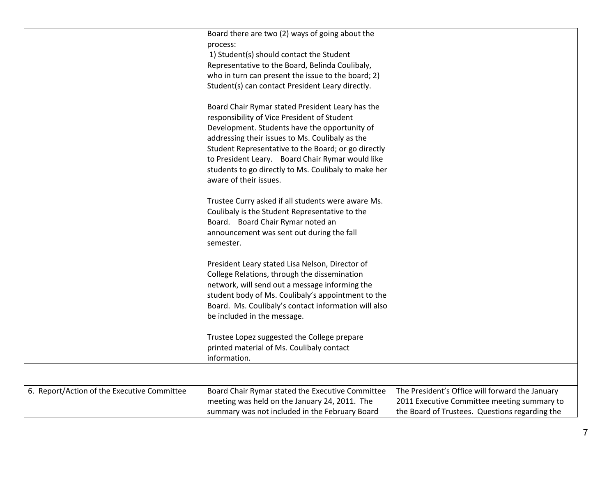|                                             | Board there are two (2) ways of going about the      |                                                 |
|---------------------------------------------|------------------------------------------------------|-------------------------------------------------|
|                                             | process:                                             |                                                 |
|                                             | 1) Student(s) should contact the Student             |                                                 |
|                                             | Representative to the Board, Belinda Coulibaly,      |                                                 |
|                                             | who in turn can present the issue to the board; 2)   |                                                 |
|                                             | Student(s) can contact President Leary directly.     |                                                 |
|                                             | Board Chair Rymar stated President Leary has the     |                                                 |
|                                             | responsibility of Vice President of Student          |                                                 |
|                                             | Development. Students have the opportunity of        |                                                 |
|                                             | addressing their issues to Ms. Coulibaly as the      |                                                 |
|                                             | Student Representative to the Board; or go directly  |                                                 |
|                                             | to President Leary. Board Chair Rymar would like     |                                                 |
|                                             | students to go directly to Ms. Coulibaly to make her |                                                 |
|                                             | aware of their issues.                               |                                                 |
|                                             |                                                      |                                                 |
|                                             | Trustee Curry asked if all students were aware Ms.   |                                                 |
|                                             | Coulibaly is the Student Representative to the       |                                                 |
|                                             | Board. Board Chair Rymar noted an                    |                                                 |
|                                             | announcement was sent out during the fall            |                                                 |
|                                             | semester.                                            |                                                 |
|                                             |                                                      |                                                 |
|                                             | President Leary stated Lisa Nelson, Director of      |                                                 |
|                                             | College Relations, through the dissemination         |                                                 |
|                                             | network, will send out a message informing the       |                                                 |
|                                             | student body of Ms. Coulibaly's appointment to the   |                                                 |
|                                             | Board. Ms. Coulibaly's contact information will also |                                                 |
|                                             | be included in the message.                          |                                                 |
|                                             |                                                      |                                                 |
|                                             | Trustee Lopez suggested the College prepare          |                                                 |
|                                             | printed material of Ms. Coulibaly contact            |                                                 |
|                                             | information.                                         |                                                 |
|                                             |                                                      |                                                 |
| 6. Report/Action of the Executive Committee | Board Chair Rymar stated the Executive Committee     | The President's Office will forward the January |
|                                             | meeting was held on the January 24, 2011. The        | 2011 Executive Committee meeting summary to     |
|                                             | summary was not included in the February Board       | the Board of Trustees. Questions regarding the  |
|                                             |                                                      |                                                 |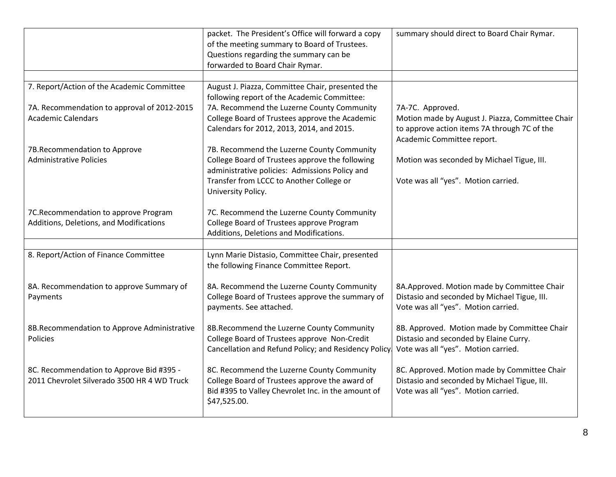|                                             | packet. The President's Office will forward a copy<br>of the meeting summary to Board of Trustees.<br>Questions regarding the summary can be<br>forwarded to Board Chair Rymar. | summary should direct to Board Chair Rymar.      |
|---------------------------------------------|---------------------------------------------------------------------------------------------------------------------------------------------------------------------------------|--------------------------------------------------|
|                                             |                                                                                                                                                                                 |                                                  |
| 7. Report/Action of the Academic Committee  | August J. Piazza, Committee Chair, presented the                                                                                                                                |                                                  |
|                                             | following report of the Academic Committee:                                                                                                                                     |                                                  |
| 7A. Recommendation to approval of 2012-2015 | 7A. Recommend the Luzerne County Community                                                                                                                                      | 7A-7C. Approved.                                 |
| <b>Academic Calendars</b>                   | College Board of Trustees approve the Academic                                                                                                                                  | Motion made by August J. Piazza, Committee Chair |
|                                             | Calendars for 2012, 2013, 2014, and 2015.                                                                                                                                       | to approve action items 7A through 7C of the     |
|                                             |                                                                                                                                                                                 | Academic Committee report.                       |
| 7B.Recommendation to Approve                | 7B. Recommend the Luzerne County Community                                                                                                                                      |                                                  |
| <b>Administrative Policies</b>              | College Board of Trustees approve the following                                                                                                                                 | Motion was seconded by Michael Tigue, III.       |
|                                             | administrative policies: Admissions Policy and<br>Transfer from LCCC to Another College or                                                                                      |                                                  |
|                                             | University Policy.                                                                                                                                                              | Vote was all "yes". Motion carried.              |
|                                             |                                                                                                                                                                                 |                                                  |
| 7C.Recommendation to approve Program        | 7C. Recommend the Luzerne County Community                                                                                                                                      |                                                  |
| Additions, Deletions, and Modifications     | College Board of Trustees approve Program                                                                                                                                       |                                                  |
|                                             | Additions, Deletions and Modifications.                                                                                                                                         |                                                  |
|                                             |                                                                                                                                                                                 |                                                  |
| 8. Report/Action of Finance Committee       | Lynn Marie Distasio, Committee Chair, presented                                                                                                                                 |                                                  |
|                                             | the following Finance Committee Report.                                                                                                                                         |                                                  |
|                                             |                                                                                                                                                                                 |                                                  |
| 8A. Recommendation to approve Summary of    | 8A. Recommend the Luzerne County Community                                                                                                                                      | 8A.Approved. Motion made by Committee Chair      |
| Payments                                    | College Board of Trustees approve the summary of                                                                                                                                | Distasio and seconded by Michael Tigue, III.     |
|                                             | payments. See attached.                                                                                                                                                         | Vote was all "yes". Motion carried.              |
|                                             |                                                                                                                                                                                 |                                                  |
| 8B.Recommendation to Approve Administrative | 8B.Recommend the Luzerne County Community                                                                                                                                       | 8B. Approved. Motion made by Committee Chair     |
| Policies                                    | College Board of Trustees approve Non-Credit                                                                                                                                    | Distasio and seconded by Elaine Curry.           |
|                                             | Cancellation and Refund Policy; and Residency Policy.                                                                                                                           | Vote was all "yes". Motion carried.              |
|                                             |                                                                                                                                                                                 |                                                  |
| 8C. Recommendation to Approve Bid #395 -    | 8C. Recommend the Luzerne County Community                                                                                                                                      | 8C. Approved. Motion made by Committee Chair     |
| 2011 Chevrolet Silverado 3500 HR 4 WD Truck | College Board of Trustees approve the award of                                                                                                                                  | Distasio and seconded by Michael Tigue, III.     |
|                                             | Bid #395 to Valley Chevrolet Inc. in the amount of                                                                                                                              | Vote was all "yes". Motion carried.              |
|                                             | \$47,525.00.                                                                                                                                                                    |                                                  |
|                                             |                                                                                                                                                                                 |                                                  |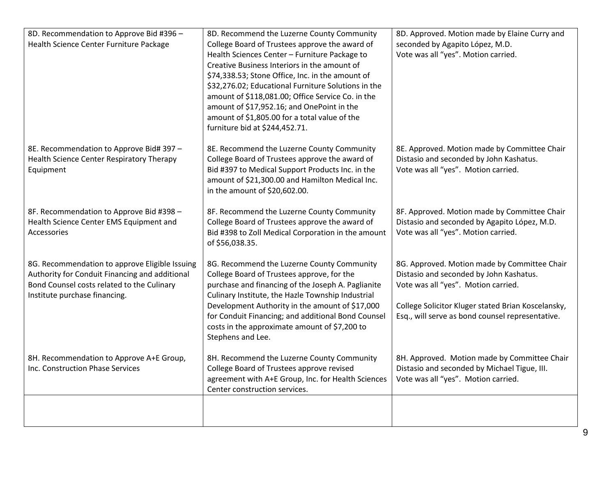| 8D. Recommendation to Approve Bid #396 -<br>Health Science Center Furniture Package                                                                                             | 8D. Recommend the Luzerne County Community<br>College Board of Trustees approve the award of<br>Health Sciences Center - Furniture Package to<br>Creative Business Interiors in the amount of<br>\$74,338.53; Stone Office, Inc. in the amount of<br>\$32,276.02; Educational Furniture Solutions in the<br>amount of \$118,081.00; Office Service Co. in the                      | 8D. Approved. Motion made by Elaine Curry and<br>seconded by Agapito López, M.D.<br>Vote was all "yes". Motion carried.                                                                                                                  |
|---------------------------------------------------------------------------------------------------------------------------------------------------------------------------------|------------------------------------------------------------------------------------------------------------------------------------------------------------------------------------------------------------------------------------------------------------------------------------------------------------------------------------------------------------------------------------|------------------------------------------------------------------------------------------------------------------------------------------------------------------------------------------------------------------------------------------|
|                                                                                                                                                                                 | amount of \$17,952.16; and OnePoint in the<br>amount of \$1,805.00 for a total value of the<br>furniture bid at \$244,452.71.                                                                                                                                                                                                                                                      |                                                                                                                                                                                                                                          |
| 8E. Recommendation to Approve Bid# 397 -<br>Health Science Center Respiratory Therapy<br>Equipment                                                                              | 8E. Recommend the Luzerne County Community<br>College Board of Trustees approve the award of<br>Bid #397 to Medical Support Products Inc. in the<br>amount of \$21,300.00 and Hamilton Medical Inc.<br>in the amount of \$20,602.00.                                                                                                                                               | 8E. Approved. Motion made by Committee Chair<br>Distasio and seconded by John Kashatus.<br>Vote was all "yes". Motion carried.                                                                                                           |
| 8F. Recommendation to Approve Bid #398 -<br>Health Science Center EMS Equipment and<br>Accessories                                                                              | 8F. Recommend the Luzerne County Community<br>College Board of Trustees approve the award of<br>Bid #398 to Zoll Medical Corporation in the amount<br>of \$56,038.35.                                                                                                                                                                                                              | 8F. Approved. Motion made by Committee Chair<br>Distasio and seconded by Agapito López, M.D.<br>Vote was all "yes". Motion carried.                                                                                                      |
| 8G. Recommendation to approve Eligible Issuing<br>Authority for Conduit Financing and additional<br>Bond Counsel costs related to the Culinary<br>Institute purchase financing. | 8G. Recommend the Luzerne County Community<br>College Board of Trustees approve, for the<br>purchase and financing of the Joseph A. Paglianite<br>Culinary Institute, the Hazle Township Industrial<br>Development Authority in the amount of \$17,000<br>for Conduit Financing; and additional Bond Counsel<br>costs in the approximate amount of \$7,200 to<br>Stephens and Lee. | 8G. Approved. Motion made by Committee Chair<br>Distasio and seconded by John Kashatus.<br>Vote was all "yes". Motion carried.<br>College Solicitor Kluger stated Brian Koscelansky,<br>Esq., will serve as bond counsel representative. |
| 8H. Recommendation to Approve A+E Group,<br>Inc. Construction Phase Services                                                                                                    | 8H. Recommend the Luzerne County Community<br>College Board of Trustees approve revised<br>agreement with A+E Group, Inc. for Health Sciences<br>Center construction services.                                                                                                                                                                                                     | 8H. Approved. Motion made by Committee Chair<br>Distasio and seconded by Michael Tigue, III.<br>Vote was all "yes". Motion carried.                                                                                                      |
|                                                                                                                                                                                 |                                                                                                                                                                                                                                                                                                                                                                                    |                                                                                                                                                                                                                                          |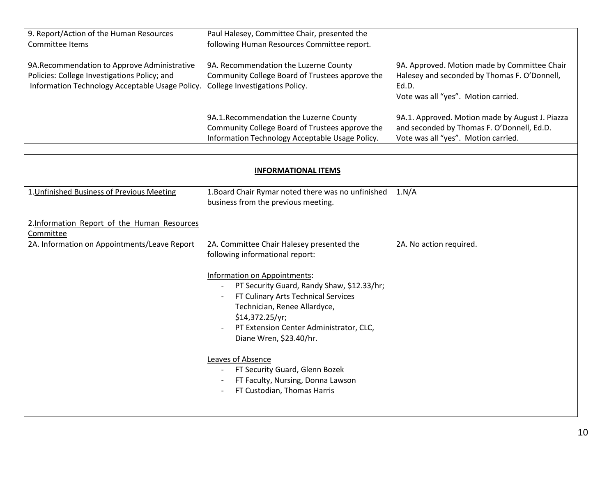| 9. Report/Action of the Human Resources<br>Committee Items                                                                                      | Paul Halesey, Committee Chair, presented the<br>following Human Resources Committee report.                                                                                                                                                |                                                                                                                                              |
|-------------------------------------------------------------------------------------------------------------------------------------------------|--------------------------------------------------------------------------------------------------------------------------------------------------------------------------------------------------------------------------------------------|----------------------------------------------------------------------------------------------------------------------------------------------|
| 9A. Recommendation to Approve Administrative<br>Policies: College Investigations Policy; and<br>Information Technology Acceptable Usage Policy. | 9A. Recommendation the Luzerne County<br>Community College Board of Trustees approve the<br>College Investigations Policy.                                                                                                                 | 9A. Approved. Motion made by Committee Chair<br>Halesey and seconded by Thomas F. O'Donnell,<br>Ed.D.<br>Vote was all "yes". Motion carried. |
|                                                                                                                                                 | 9A.1.Recommendation the Luzerne County<br>Community College Board of Trustees approve the<br>Information Technology Acceptable Usage Policy.                                                                                               | 9A.1. Approved. Motion made by August J. Piazza<br>and seconded by Thomas F. O'Donnell, Ed.D.<br>Vote was all "yes". Motion carried.         |
|                                                                                                                                                 |                                                                                                                                                                                                                                            |                                                                                                                                              |
|                                                                                                                                                 | <b>INFORMATIONAL ITEMS</b>                                                                                                                                                                                                                 |                                                                                                                                              |
| 1. Unfinished Business of Previous Meeting                                                                                                      | 1. Board Chair Rymar noted there was no unfinished<br>business from the previous meeting.                                                                                                                                                  | 1.N/A                                                                                                                                        |
| 2.Information Report of the Human Resources<br>Committee                                                                                        |                                                                                                                                                                                                                                            |                                                                                                                                              |
| 2A. Information on Appointments/Leave Report                                                                                                    | 2A. Committee Chair Halesey presented the<br>following informational report:                                                                                                                                                               | 2A. No action required.                                                                                                                      |
|                                                                                                                                                 | Information on Appointments:<br>PT Security Guard, Randy Shaw, \$12.33/hr;<br>FT Culinary Arts Technical Services<br>Technician, Renee Allardyce,<br>\$14,372.25/yr;<br>PT Extension Center Administrator, CLC,<br>Diane Wren, \$23.40/hr. |                                                                                                                                              |
|                                                                                                                                                 | Leaves of Absence<br>FT Security Guard, Glenn Bozek<br>FT Faculty, Nursing, Donna Lawson<br>FT Custodian, Thomas Harris                                                                                                                    |                                                                                                                                              |